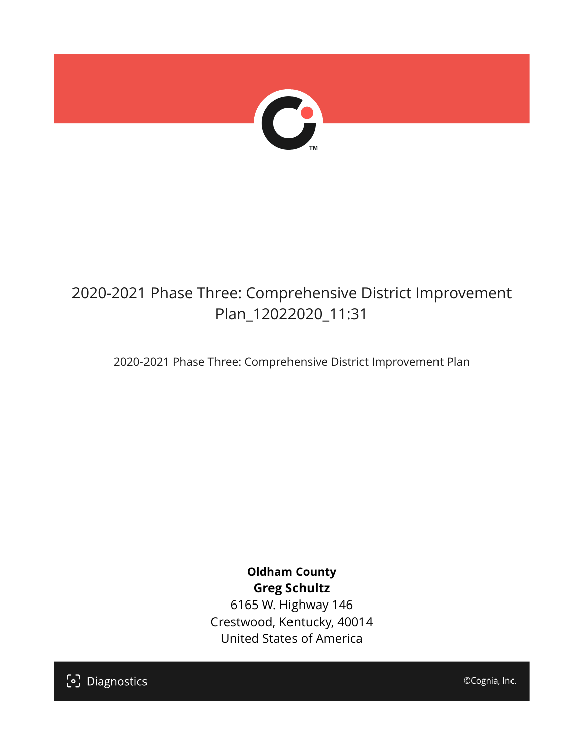

## 2020-2021 Phase Three: Comprehensive District Improvement Plan\_12022020\_11:31

2020-2021 Phase Three: Comprehensive District Improvement Plan

### **Oldham County Greg Schultz**

6165 W. Highway 146 Crestwood, Kentucky, 40014 United States of America

[၁] Diagnostics

©Cognia, Inc.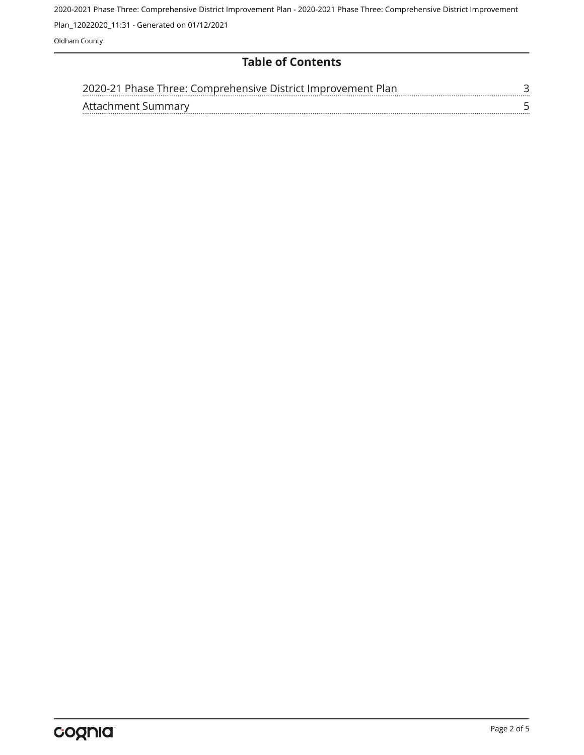2020-2021 Phase Three: Comprehensive District Improvement Plan - 2020-2021 Phase Three: Comprehensive District Improvement Plan\_12022020\_11:31 - Generated on 01/12/2021

Oldham County

#### **Table of Contents**

| 2020-21 Phase Three: Comprehensive District Improvement Plan |  |
|--------------------------------------------------------------|--|
| Affachment Summary                                           |  |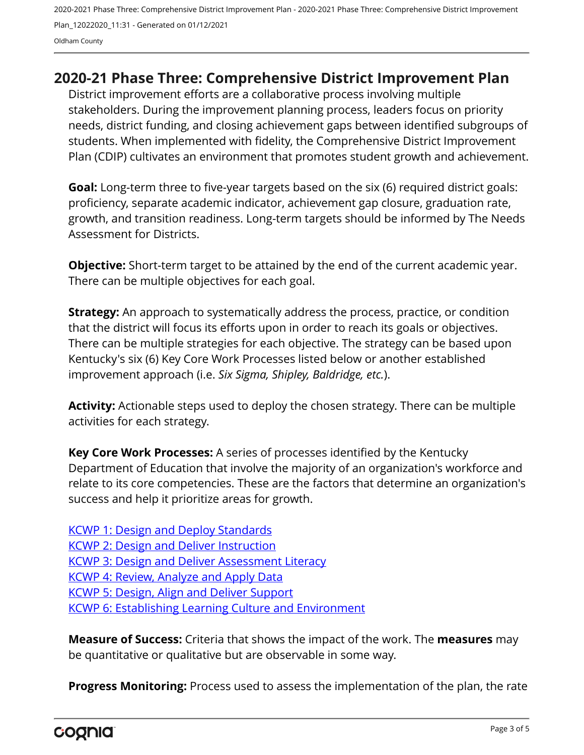2020-2021 Phase Three: Comprehensive District Improvement Plan - 2020-2021 Phase Three: Comprehensive District Improvement Plan\_12022020\_11:31 - Generated on 01/12/2021 Oldham County

#### <span id="page-2-0"></span>**2020-21 Phase Three: Comprehensive District Improvement Plan**

District improvement efforts are a collaborative process involving multiple stakeholders. During the improvement planning process, leaders focus on priority needs, district funding, and closing achievement gaps between identified subgroups of students. When implemented with fidelity, the Comprehensive District Improvement Plan (CDIP) cultivates an environment that promotes student growth and achievement.

**Goal:** Long-term three to five-year targets based on the six (6) required district goals: proficiency, separate academic indicator, achievement gap closure, graduation rate, growth, and transition readiness. Long-term targets should be informed by The Needs Assessment for Districts.

**Objective:** Short-term target to be attained by the end of the current academic year. There can be multiple objectives for each goal.

**Strategy:** An approach to systematically address the process, practice, or condition that the district will focus its efforts upon in order to reach its goals or objectives. There can be multiple strategies for each objective. The strategy can be based upon Kentucky's six (6) Key Core Work Processes listed below or another established improvement approach (i.e. *Six Sigma, Shipley, Baldridge, etc.*).

**Activity:** Actionable steps used to deploy the chosen strategy. There can be multiple activities for each strategy.

**Key Core Work Processes:** A series of processes identified by the Kentucky Department of Education that involve the majority of an organization's workforce and relate to its core competencies. These are the factors that determine an organization's success and help it prioritize areas for growth.

[KCWP 1: Design and Deploy Standards](https://education.ky.gov/school/csip/Documents/KCWP%201%20Strategic%20Design%20and%20Deploy%20Standards.pdf) [KCWP 2: Design and Deliver Instruction](https://education.ky.gov/school/csip/Documents/KCWP%202%20Strategic%20Design%20and%20Deliver%20Instruction.pdf) [KCWP 3: Design and Deliver Assessment Literacy](https://education.ky.gov/school/csip/Documents/KCWP%203%20Strategic%20Design%20and%20Deliver%20Assessment%20Literacy.pdf) [KCWP 4: Review, Analyze and Apply Data](https://education.ky.gov/school/csip/Documents/KCWP%204%20Strategic%20Review%20Analyze%20and%20Apply%20Data.pdf) [KCWP 5: Design, Align and Deliver Support](https://education.ky.gov/school/csip/Documents/KCWP%205%20Strategic%20Design%20Align%20Deliver%20Support%20Processes.pdf) [KCWP 6: Establishing Learning Culture and Environment](https://education.ky.gov/school/csip/Documents/KCWP%206%20Strategic%20Establish%20Learning%20Culture%20and%20Environment.pdf)

**Measure of Success:** Criteria that shows the impact of the work. The **measures** may be quantitative or qualitative but are observable in some way.

**Progress Monitoring:** Process used to assess the implementation of the plan, the rate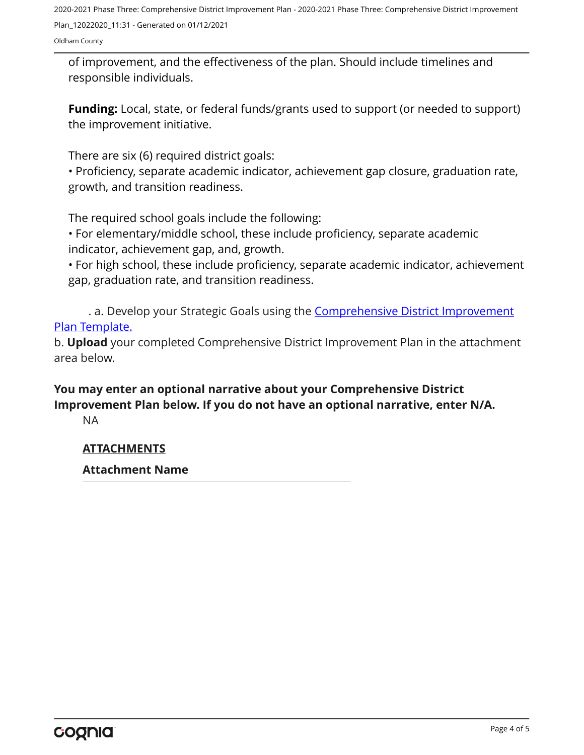2020-2021 Phase Three: Comprehensive District Improvement Plan - 2020-2021 Phase Three: Comprehensive District Improvement Plan\_12022020\_11:31 - Generated on 01/12/2021

Oldham County

of improvement, and the effectiveness of the plan. Should include timelines and responsible individuals.

**Funding:** Local, state, or federal funds/grants used to support (or needed to support) the improvement initiative.

There are six (6) required district goals:

• Proficiency, separate academic indicator, achievement gap closure, graduation rate, growth, and transition readiness.

The required school goals include the following:

• For elementary/middle school, these include proficiency, separate academic indicator, achievement gap, and, growth.

• For high school, these include proficiency, separate academic indicator, achievement gap, graduation rate, and transition readiness.

. a. Develop your Strategic Goals using the **[Comprehensive District Improvement](https://education.ky.gov/school/csip/Documents/KDE Comprehensive Improvement Plan for District.docx)** [Plan Template.](https://education.ky.gov/school/csip/Documents/KDE Comprehensive Improvement Plan for District.docx)

b. **Upload** your completed Comprehensive District Improvement Plan in the attachment area below.

**You may enter an optional narrative about your Comprehensive District Improvement Plan below. If you do not have an optional narrative, enter N/A.**

NA

#### **ATTACHMENTS**

**Attachment Name**